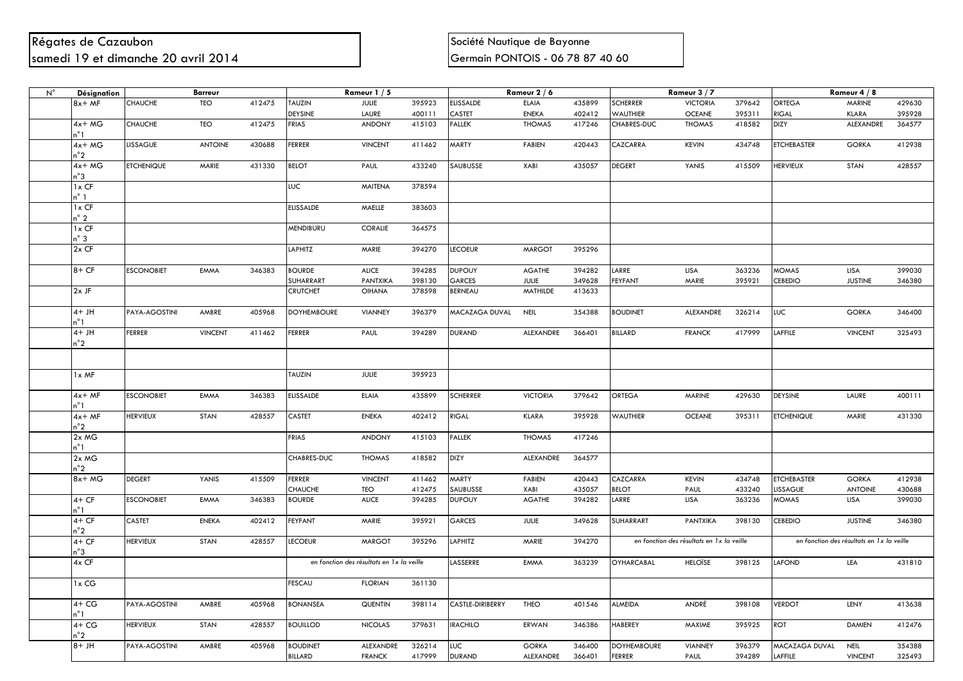## Régates de Cazaubon de Casaubon de la communicación de Bayonne de Bayonne de Bayonne samedi 19 et dimanche 20 avril 2014 **Samedi 19 et dimanche 20 avril 2014** Germain PONTOIS - 06 78 87 40 60

| $N^{\circ}$ | Désignation      | <b>Barreur</b>    |                |        | Rameur $1/5$       |                                            |        | Rameur 2 / 6     |                  |        | Rameur 3 / 7       |                                            |        | Rameur 4 / 8       |                                            |        |
|-------------|------------------|-------------------|----------------|--------|--------------------|--------------------------------------------|--------|------------------|------------------|--------|--------------------|--------------------------------------------|--------|--------------------|--------------------------------------------|--------|
|             | $8x + MF$        | <b>CHAUCHE</b>    | <b>TEO</b>     | 412475 | <b>TAUZIN</b>      | <b>JULIE</b>                               | 395923 | <b>ELISSALDE</b> | <b>ELAIA</b>     | 435899 | <b>SCHERRER</b>    | <b>VICTORIA</b>                            | 379642 | <b>ORTEGA</b>      | <b>MARINE</b>                              | 429630 |
|             |                  |                   |                |        | <b>DEYSINE</b>     | LAURE                                      | 400111 | CASTET           | <b>ENEKA</b>     | 402412 | <b>WAUTHIER</b>    | <b>OCEANE</b>                              | 395311 | <b>RIGAL</b>       | <b>KLARA</b>                               | 395928 |
|             | $4x + MG$<br>n°1 | CHAUCHE           | TEO            | 412475 | <b>FRIAS</b>       | <b>ANDONY</b>                              | 415103 | <b>FALLEK</b>    | <b>THOMAS</b>    | 417246 | CHABRES-DUC        | <b>THOMAS</b>                              | 418582 | <b>DIZY</b>        | ALEXANDRE                                  | 364577 |
|             | 4x+ MG<br>n°2    | <b>LISSAGUE</b>   | <b>ANTOINE</b> | 430688 | <b>FERRER</b>      | <b>VINCENT</b>                             | 411462 | <b>MARTY</b>     | <b>FABIEN</b>    | 420443 | CAZCARRA           | <b>KEVIN</b>                               | 434748 | <b>ETCHEBASTER</b> | <b>GORKA</b>                               | 412938 |
|             | $4x + MG$<br>n°3 | <b>ETCHENIQUE</b> | MARIE          | 431330 | <b>BELOT</b>       | PAUL                                       | 433240 | SAUBUSSE         | XABI             | 435057 | <b>DEGERT</b>      | YANIS                                      | 415509 | <b>HERVIEUX</b>    | STAN                                       | 428557 |
|             | 1x CF            |                   |                |        | LUC                | MAITENA                                    | 378594 |                  |                  |        |                    |                                            |        |                    |                                            |        |
|             | n° 1<br>$1x$ CF  |                   |                |        | <b>ELISSALDE</b>   | MAELLE                                     | 383603 |                  |                  |        |                    |                                            |        |                    |                                            |        |
|             | n° 2<br>$1x$ CF  |                   |                |        | MENDIBURU          | CORALIE                                    | 364575 |                  |                  |        |                    |                                            |        |                    |                                            |        |
|             | n° 3<br>$2x$ CF  |                   |                |        | LAPHITZ            | MARIE                                      | 394270 | <b>LECOEUR</b>   | <b>MARGOT</b>    | 395296 |                    |                                            |        |                    |                                            |        |
|             | $8+CF$           | <b>ESCONOBIET</b> | EMMA           | 346383 | <b>BOURDE</b>      | <b>ALICE</b>                               | 394285 | <b>DUPOUY</b>    | <b>AGATHE</b>    | 394282 | LARRE              | LISA                                       | 363236 | <b>MOMAS</b>       | <b>LISA</b>                                | 399030 |
|             |                  |                   |                |        | SUHARRART          | PANTXIKA                                   | 398130 | GARCES           | <b>JULIE</b>     | 349628 | <b>FEYFANT</b>     | MARIE                                      | 395921 | <b>CEBEDIO</b>     | <b>JUSTINE</b>                             | 346380 |
|             | 2x JF            |                   |                |        | <b>CRUTCHET</b>    | <b>OIHANA</b>                              | 378598 | <b>BERNEAU</b>   | MATHILDE         | 413633 |                    |                                            |        |                    |                                            |        |
|             | 4+ JH<br>n°1     | PAYA-AGOSTINI     | AMBRE          | 405968 | <b>DOYHEMBOURE</b> | <b>VIANNEY</b>                             | 396379 | MACAZAGA DUVAL   | <b>NEIL</b>      | 354388 | <b>BOUDINET</b>    | ALEXANDRE                                  | 326214 | <b>LUC</b>         | <b>GORKA</b>                               | 346400 |
|             | $4+JH$<br>n°2    | <b>FERRER</b>     | <b>VINCENT</b> | 411462 | <b>FERRER</b>      | PAUL                                       | 394289 | <b>DURAND</b>    | ALEXANDRE        | 366401 | <b>BILLARD</b>     | <b>FRANCK</b>                              | 417999 | LAFFILE            | <b>VINCENT</b>                             | 325493 |
|             |                  |                   |                |        |                    |                                            |        |                  |                  |        |                    |                                            |        |                    |                                            |        |
|             | 1x MF            |                   |                |        | TAUZIN             | <b>JULIE</b>                               | 395923 |                  |                  |        |                    |                                            |        |                    |                                            |        |
|             | $4x + MF$<br>n°1 | <b>ESCONOBIET</b> | EMMA           | 346383 | <b>ELISSALDE</b>   | <b>ELAIA</b>                               | 435899 | <b>SCHERRER</b>  | <b>VICTORIA</b>  | 379642 | <b>ORTEGA</b>      | <b>MARINE</b>                              | 429630 | <b>DEYSINE</b>     | LAURE                                      | 400111 |
|             | $4x + MF$<br>n°2 | <b>HERVIEUX</b>   | <b>STAN</b>    | 428557 | <b>CASTET</b>      | <b>ENEKA</b>                               | 402412 | RIGAL            | <b>KLARA</b>     | 395928 | <b>WAUTHIER</b>    | <b>OCEANE</b>                              | 395311 | <b>ETCHENIQUE</b>  | MARIE                                      | 431330 |
|             | 2x MG<br>n°1     |                   |                |        | <b>FRIAS</b>       | <b>ANDONY</b>                              | 415103 | <b>FALLEK</b>    | <b>THOMAS</b>    | 417246 |                    |                                            |        |                    |                                            |        |
|             | 2x MG            |                   |                |        | CHABRES-DUC        | <b>THOMAS</b>                              | 418582 | <b>DIZY</b>      | <b>ALEXANDRE</b> | 364577 |                    |                                            |        |                    |                                            |        |
|             | n°2<br>8x+ MG    | <b>DEGERT</b>     | YANIS          | 415509 | <b>FERRER</b>      | <b>VINCENT</b>                             | 411462 | MARTY            | <b>FABIEN</b>    | 420443 | CAZCARRA           | <b>KEVIN</b>                               | 434748 | <b>ETCHEBASTER</b> | <b>GORKA</b>                               | 412938 |
|             |                  |                   |                |        | CHAUCHE            | TEO                                        | 412475 | SAUBUSSE         | XABI             | 435057 | <b>BELOT</b>       | PAUL                                       | 433240 | LISSAGUE           | <b>ANTOINE</b>                             | 430688 |
|             | $4+CF$<br>n°1    | <b>ESCONOBIET</b> | EMMA           | 346383 | <b>BOURDE</b>      | <b>ALICE</b>                               | 394285 | <b>DUPOUY</b>    | <b>AGATHE</b>    | 394282 | LARRE              | LISA                                       | 363236 | <b>MOMAS</b>       | LISA                                       | 399030 |
|             | $4+CF$<br>n°2    | CASTET            | <b>ENEKA</b>   | 402412 | <b>FEYFANT</b>     | MARIE                                      | 395921 | GARCES           | JULIE            | 349628 | <b>SUHARRART</b>   | PANTXIKA                                   | 398130 | <b>CEBEDIO</b>     | <b>JUSTINE</b>                             | 346380 |
|             | 4+ CF<br>n°3     | <b>HERVIEUX</b>   | <b>STAN</b>    | 428557 | <b>LECOEUR</b>     | <b>MARGOT</b>                              | 395296 | LAPHITZ          | MARIE            | 394270 |                    | en fonction des résultats en 1 x la veille |        |                    | en fonction des résultats en 1 x la veille |        |
|             | $4x$ CF          |                   |                |        |                    | en fonction des résultats en 1 x la veille |        | LASSERRE         | EMMA             | 363239 | <b>OYHARCABAL</b>  | <b>HELOÏSE</b>                             | 398125 | <b>LAFOND</b>      | LEA                                        | 431810 |
|             | 1x CG            |                   |                |        | <b>FESCAU</b>      | <b>FLORIAN</b>                             | 361130 |                  |                  |        |                    |                                            |        |                    |                                            |        |
|             | 4+ CG<br>n°1     | PAYA-AGOSTINI     | AMBRE          | 405968 | <b>BONANSEA</b>    | <b>QUENTIN</b>                             | 398114 | CASTLE-DIRIBERRY | <b>THEO</b>      | 401546 | ALMEIDA            | ANDRÉ                                      | 398108 | <b>VERDOT</b>      | LENY                                       | 413638 |
|             | 4+ CG            | <b>HERVIEUX</b>   | STAN           | 428557 | <b>BOUILLOD</b>    | <b>NICOLAS</b>                             | 379631 | <b>IRACHILO</b>  | ERWAN            | 346386 | <b>HABEREY</b>     | MAXIME                                     | 395925 | <b>ROT</b>         | <b>DAMIEN</b>                              | 412476 |
|             | n°2<br>$HL + 8$  | PAYA-AGOSTINI     | AMBRE          | 405968 | <b>BOUDINET</b>    | ALEXANDRE                                  | 326214 | <b>LUC</b>       | <b>GORKA</b>     | 346400 | <b>DOYHEMBOURE</b> | <b>VIANNEY</b>                             | 396379 | MACAZAGA DUVAL     | <b>NEIL</b>                                | 354388 |
|             |                  |                   |                |        | <b>BILLARD</b>     | <b>FRANCK</b>                              | 417999 | <b>DURAND</b>    | ALEXANDRE        | 366401 | <b>FERRER</b>      | PAUL                                       | 394289 | LAFFILE            | <b>VINCENT</b>                             | 325493 |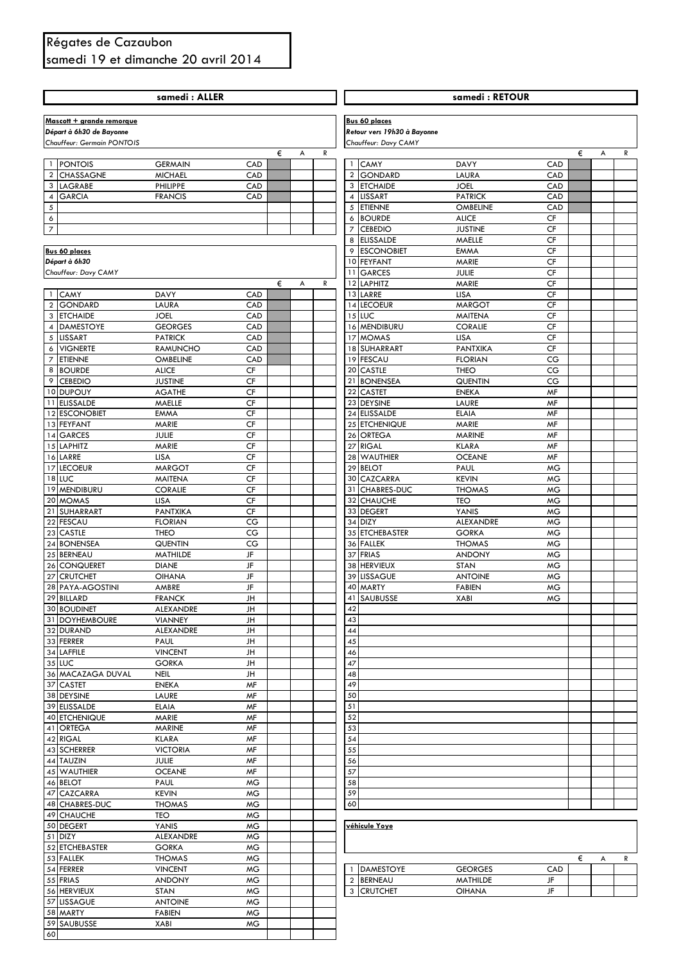## Régates de Cazaubon samedi 19 et dimanche 20 avril 2014

|                         |                                 | samedi: ALLER                   |                 |                   |                     |                                  | samedi: RETOUR                 |                        |        |   |
|-------------------------|---------------------------------|---------------------------------|-----------------|-------------------|---------------------|----------------------------------|--------------------------------|------------------------|--------|---|
|                         |                                 |                                 |                 |                   |                     |                                  |                                |                        |        |   |
|                         | Mascott + grande remorque       |                                 |                 |                   |                     | <b>Bus 60 places</b>             |                                |                        |        |   |
|                         | Départ à 6h30 de Bayonne        |                                 |                 |                   |                     | Retour vers 19h30 à Bayonne      |                                |                        |        |   |
|                         | Chauffeur: Germain PONTOIS      |                                 | €               | А<br>R            |                     | Chauffeur: Davy CAMY             |                                |                        | €<br>А | R |
|                         | 1 PONTOIS                       | <b>GERMAIN</b>                  | CAD             |                   | $\mathbf{1}$        | <b>CAMY</b>                      | <b>DAVY</b>                    | CAD                    |        |   |
| $\overline{\mathbf{c}}$ | CHASSAGNE                       | <b>MICHAEL</b>                  | CAD             |                   | $\overline{2}$      | <b>GONDARD</b>                   | LAURA                          | CAD                    |        |   |
| 3                       | <b>LAGRABE</b>                  | PHILIPPE                        | CAD             |                   | 3                   | <b>ETCHAIDE</b>                  | <b>JOEL</b>                    | CAD                    |        |   |
| 4                       | <b>GARCIA</b>                   | <b>FRANCIS</b>                  | CAD             |                   | $\overline{4}$      | <b>LISSART</b>                   | <b>PATRICK</b>                 | CAD                    |        |   |
| 5                       |                                 |                                 |                 |                   | 5                   | <b>ETIENNE</b>                   | <b>OMBELINE</b>                | CAD                    |        |   |
| 6<br>$\overline{7}$     |                                 |                                 |                 |                   | 6<br>$\overline{7}$ | <b>BOURDE</b><br><b>CEBEDIO</b>  | <b>ALICE</b><br><b>JUSTINE</b> | CF<br>CF               |        |   |
|                         |                                 |                                 |                 |                   | 8                   | <b>ELISSALDE</b>                 | MAELLE                         | CF                     |        |   |
|                         | <b>Bus 60 places</b>            |                                 |                 |                   | 9                   | <b>ESCONOBIET</b>                | <b>EMMA</b>                    | CF                     |        |   |
|                         | Départ à 6h30                   |                                 |                 |                   | 10                  | <b>FEYFANT</b>                   | MARIE                          | CF                     |        |   |
|                         | Chauffeur: Davy CAMY            |                                 |                 |                   | 11                  | <b>GARCES</b>                    | <b>JULIE</b>                   | CF                     |        |   |
|                         |                                 |                                 | €               | $\mathsf{R}$<br>A | 12                  | <b>LAPHITZ</b>                   | MARIE                          | CF                     |        |   |
| $\overline{2}$          | 1 CAMY<br><b>GONDARD</b>        | <b>DAVY</b><br>LAURA            | CAD<br>CAD      |                   | 14                  | 13 LARRE<br><b>LECOEUR</b>       | LISA<br><b>MARGOT</b>          | CF<br>CF               |        |   |
| 3                       | <b>ETCHAIDE</b>                 | <b>JOEL</b>                     | CAD             |                   |                     | 15 LUC                           | <b>MAITENA</b>                 | CF                     |        |   |
| 4                       | <b>DAMESTOYE</b>                | <b>GEORGES</b>                  | CAD             |                   |                     | 16 MENDIBURU                     | <b>CORALIE</b>                 | CF                     |        |   |
|                         | 5 LISSART                       | <b>PATRICK</b>                  | CAD             |                   | 17                  | <b>MOMAS</b>                     | <b>LISA</b>                    | CF                     |        |   |
| 6                       | <b>VIGNERTE</b>                 | RAMUNCHO                        | CAD             |                   |                     | 18 SUHARRART                     | <b>PANTXIKA</b>                | CF                     |        |   |
| $\overline{7}$          | <b>ETIENNE</b>                  | <b>OMBELINE</b>                 | CAD             |                   | 19                  | <b>FESCAU</b>                    | <b>FLORIAN</b>                 | CG                     |        |   |
| 8<br>9                  | <b>BOURDE</b><br><b>CEBEDIO</b> | <b>ALICE</b><br><b>JUSTINE</b>  | CF<br>CF        |                   | 20                  | <b>CASTLE</b><br><b>BONENSEA</b> | <b>THEO</b><br><b>QUENTIN</b>  | CG<br>CG               |        |   |
|                         | 10 DUPOUY                       | <b>AGATHE</b>                   | CF              |                   | 21<br>22            | <b>CASTET</b>                    | <b>ENEKA</b>                   | MF                     |        |   |
|                         | 11 ELISSALDE                    | MAELLE                          | CF              |                   |                     | 23 DEYSINE                       | LAURE                          | MF                     |        |   |
|                         | 12 ESCONOBIET                   | <b>EMMA</b>                     | CF              |                   | 24                  | <b>ELISSALDE</b>                 | <b>ELAIA</b>                   | MF                     |        |   |
|                         | 13 FEYFANT                      | MARIE                           | CF              |                   |                     | 25 ETCHENIQUE                    | MARIE                          | MF                     |        |   |
|                         | 14 GARCES                       | JULIE                           | CF              |                   | 26                  | <b>ORTEGA</b>                    | <b>MARINE</b>                  | MF                     |        |   |
|                         | 15 LAPHITZ                      | MARIE                           | CF              |                   | 27                  | <b>RIGAL</b>                     | <b>KLARA</b>                   | <b>MF</b>              |        |   |
| 17                      | 16 LARRE<br><b>LECOEUR</b>      | <b>LISA</b><br><b>MARGOT</b>    | CF<br>CF        |                   | 28<br>29            | <b>WAUTHIER</b><br><b>BELOT</b>  | <b>OCEANE</b><br>PAUL          | MF<br><b>MG</b>        |        |   |
|                         | <b>18 LUC</b>                   | <b>MAITENA</b>                  | CF              |                   | 30                  | <b>CAZCARRA</b>                  | <b>KEVIN</b>                   | <b>MG</b>              |        |   |
| 19                      | <b>MENDIBURU</b>                | <b>CORALIE</b>                  | CF              |                   |                     | 31 CHABRES-DUC                   | <b>THOMAS</b>                  | <b>MG</b>              |        |   |
|                         | 20 MOMAS                        | LISA                            | CF              |                   | 32                  | <b>CHAUCHE</b>                   | <b>TEO</b>                     | <b>MG</b>              |        |   |
| 21                      | SUHARRART                       | <b>PANTXIKA</b>                 | CF              |                   | 33                  | <b>DEGERT</b>                    | YANIS                          | <b>MG</b>              |        |   |
| 22                      | <b>FESCAU</b>                   | <b>FLORIAN</b>                  | CG              |                   | 34                  | <b>DIZY</b>                      | ALEXANDRE                      | <b>MG</b>              |        |   |
| 24                      | 23 CASTLE<br><b>BONENSEA</b>    | <b>THEO</b><br>QUENTIN          | CG<br>CG        |                   | 35                  | <b>ETCHEBASTER</b><br>36 FALLEK  | <b>GORKA</b><br><b>THOMAS</b>  | <b>MG</b><br><b>MG</b> |        |   |
|                         | 25 BERNEAU                      | MATHILDE                        | JF              |                   |                     | 37 FRIAS                         | <b>ANDONY</b>                  | <b>MG</b>              |        |   |
|                         | 26 CONQUERET                    | <b>DIANE</b>                    | JF              |                   | 38                  | <b>HERVIEUX</b>                  | <b>STAN</b>                    | <b>MG</b>              |        |   |
| 27                      | <b>CRUTCHET</b>                 | <b>OIHANA</b>                   | JF              |                   | 39                  | <b>LISSAGUE</b>                  | <b>ANTOINE</b>                 | <b>MG</b>              |        |   |
|                         | 28 PAYA-AGOSTINI                | AMBRE                           | JF              |                   |                     | 40 MARTY                         | <b>FABIEN</b>                  | <b>MG</b>              |        |   |
|                         | 29 BILLARD                      | <b>FRANCK</b>                   | JH              |                   |                     | 41 SAUBUSSE                      | <b>XABI</b>                    | МG                     |        |   |
|                         | 30 BOUDINET                     | ALEXANDRE                       | JH              |                   | 42                  |                                  |                                |                        |        |   |
|                         | 31 DOYHEMBOURE<br>32 DURAND     | <b>VIANNEY</b><br>ALEXANDRE     | JH<br>JH        |                   | 43<br>44            |                                  |                                |                        |        |   |
|                         | 33 FERRER                       | PAUL                            | JH              |                   | 45                  |                                  |                                |                        |        |   |
|                         | 34 LAFFILE                      | <b>VINCENT</b>                  | JH              |                   | 46                  |                                  |                                |                        |        |   |
|                         | 35 LUC                          | <b>GORKA</b>                    | JH              |                   | 47                  |                                  |                                |                        |        |   |
|                         | 36 MACAZAGA DUVAL               | <b>NEIL</b>                     | JH              |                   | 48                  |                                  |                                |                        |        |   |
|                         | 37 CASTET                       | <b>ENEKA</b>                    | MF              |                   | 49                  |                                  |                                |                        |        |   |
|                         | 38 DEYSINE<br>39 ELISSALDE      | LAURE<br><b>ELAIA</b>           | MF<br>MF        |                   | 50<br>51            |                                  |                                |                        |        |   |
|                         | 40 ETCHENIQUE                   | MARIE                           | <b>MF</b>       |                   | 52                  |                                  |                                |                        |        |   |
|                         | 41 ORTEGA                       | <b>MARINE</b>                   | MF              |                   | 53                  |                                  |                                |                        |        |   |
|                         | 42 RIGAL                        | <b>KLARA</b>                    | MF              |                   | 54                  |                                  |                                |                        |        |   |
|                         | 43 SCHERRER                     | <b>VICTORIA</b>                 | MF              |                   | 55                  |                                  |                                |                        |        |   |
|                         | 44 TAUZIN                       | <b>JULIE</b>                    | MF              |                   | 56                  |                                  |                                |                        |        |   |
|                         | 45 WAUTHIER                     | <b>OCEANE</b>                   | MF              |                   | 57<br>58            |                                  |                                |                        |        |   |
|                         | 46 BELOT<br>47 CAZCARRA         | PAUL<br><b>KEVIN</b>            | <b>MG</b><br>МG |                   | 59                  |                                  |                                |                        |        |   |
|                         | 48 CHABRES-DUC                  | <b>THOMAS</b>                   | <b>MG</b>       |                   | 60                  |                                  |                                |                        |        |   |
|                         | 49 CHAUCHE                      | TEO                             | MG.             |                   |                     |                                  |                                |                        |        |   |
|                         | 50 DEGERT                       | YANIS                           | МG              |                   |                     | véhicule Yoye                    |                                |                        |        |   |
|                         | 51 DIZY                         | ALEXANDRE                       | <b>MG</b>       |                   |                     |                                  |                                |                        |        |   |
|                         | 52 ETCHEBASTER                  | <b>GORKA</b>                    | <b>MG</b>       |                   |                     |                                  |                                |                        |        |   |
|                         | 53 FALLEK                       | <b>THOMAS</b>                   | МG              |                   |                     |                                  |                                |                        | €<br>A | R |
|                         | 54 FERRER<br>55 FRIAS           | <b>VINCENT</b><br><b>ANDONY</b> | МG<br><b>MG</b> |                   |                     | 1 DAMESTOYE<br>2 BERNEAU         | <b>GEORGES</b><br>MATHILDE     | CAD<br>JF              |        |   |
|                         | 56 HERVIEUX                     | <b>STAN</b>                     | МG              |                   |                     | 3 CRUTCHET                       | <b>OIHANA</b>                  | JF                     |        |   |
|                         | 57 LISSAGUE                     | <b>ANTOINE</b>                  | <b>MG</b>       |                   |                     |                                  |                                |                        |        |   |
|                         | 58 MARTY                        | <b>FABIEN</b>                   | <b>MG</b>       |                   |                     |                                  |                                |                        |        |   |
|                         | 59 SAUBUSSE                     | XABI                            | <b>MG</b>       |                   |                     |                                  |                                |                        |        |   |
| 60                      |                                 |                                 |                 |                   |                     |                                  |                                |                        |        |   |